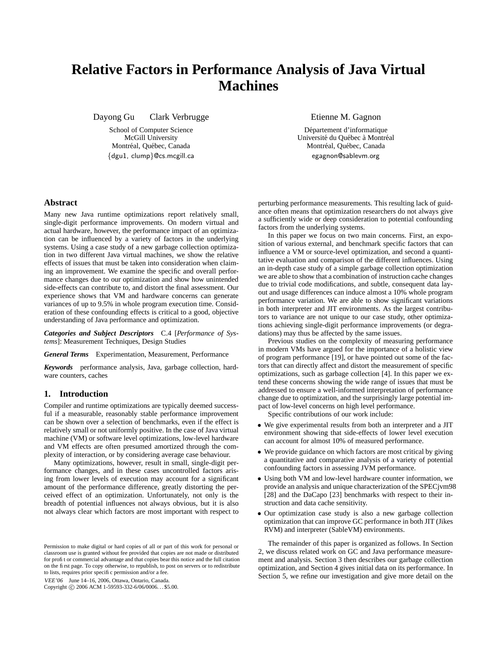# **Relative Factors in Performance Analysis of Java Virtual Machines**

Dayong Gu Clark Verbrugge

School of Computer Science McGill University Montréal, Québec, Canada {dgu1, clump}@cs.mcgill.ca Etienne M. Gagnon

Département d'informatique Université du Québec à Montréal Montréal, Québec, Canada egagnon@sablevm.org

# **Abstract**

Many new Java runtime optimizations report relatively small, single-digit performance improvements. On modern virtual and actual hardware, however, the performance impact of an optimization can be influenced by a variety of factors in the underlying systems. Using a case study of a new garbage collection optimization in two different Java virtual machines, we show the relative effects of issues that must be taken into consideration when claiming an improvement. We examine the specific and overall performance changes due to our optimization and show how unintended side-effects can contribute to, and distort the final assessment. Our experience shows that VM and hardware concerns can generate variances of up to 9.5% in whole program execution time. Consideration of these confounding effects is critical to a good, objective understanding of Java performance and optimization.

*Categories and Subject Descriptors* C.4 [*Performance of Systems*]: Measurement Techniques, Design Studies

*General Terms* Experimentation, Measurement, Performance

*Keywords* performance analysis, Java, garbage collection, hardware counters, caches

# **1. Introduction**

Compiler and runtime optimizations are typically deemed successful if a measurable, reasonably stable performance improvement can be shown over a selection of benchmarks, even if the effect is relatively small or not uniformly positive. In the case of Java virtual machine (VM) or software level optimizations, low-level hardware and VM effects are often presumed amortized through the complexity of interaction, or by considering average case behaviour.

Many optimizations, however, result in small, single-digit performance changes, and in these cases uncontrolled factors arising from lower levels of execution may account for a significant amount of the performance difference, greatly distorting the perceived effect of an optimization. Unfortunately, not only is the breadth of potential influences not always obvious, but it is also not always clear which factors are most important with respect to

VEE'06 June 14–16, 2006, Ottawa, Ontario, Canada.

Copyright © 2006 ACM 1-59593-332-6/06/0006... \$5.00.

perturbing performance measurements. This resulting lack of guidance often means that optimization researchers do not always give a sufficiently wide or deep consideration to potential confounding factors from the underlying systems.

In this paper we focus on two main concerns. First, an exposition of various external, and benchmark specific factors that can influence a VM or source-level optimization, and second a quantitative evaluation and comparison of the different influences. Using an in-depth case study of a simple garbage collection optimization we are able to show that a combination of instruction cache changes due to trivial code modifications, and subtle, consequent data layout and usage differences can induce almost a 10% whole program performance variation. We are able to show significant variations in both interpreter and JIT environments. As the largest contributors to variance are not unique to our case study, other optimizations achieving single-digit performance improvements (or degradations) may thus be affected by the same issues.

Previous studies on the complexity of measuring performance in modern VMs have argued for the importance of a holistic view of program performance [19], or have pointed out some of the factors that can directly affect and distort the measurement of specific optimizations, such as garbage collection [4]. In this paper we extend these concerns showing the wide range of issues that must be addressed to ensure a well-informed interpretation of performance change due to optimization, and the surprisingly large potential impact of low-level concerns on high level performance.

Specific contributions of our work include:

- We give experimental results from both an interpreter and a JIT environment showing that side-effects of lower level execution can account for almost 10% of measured performance.
- We provide guidance on which factors are most critical by giving a quantitative and comparative analysis of a variety of potential confounding factors in assessing JVM performance.
- Using both VM and low-level hardware counter information, we provide an analysis and unique characterization of the SPECjvm98 [28] and the DaCapo [23] benchmarks with respect to their instruction and data cache sensitivity.
- Our optimization case study is also a new garbage collection optimization that can improve GC performance in both JIT (Jikes RVM) and interpreter (SableVM) environments.

The remainder of this paper is organized as follows. In Section 2, we discuss related work on GC and Java performance measurement and analysis. Section 3 then describes our garbage collection optimization, and Section 4 gives initial data on its performance. In Section 5, we refine our investigation and give more detail on the

Permission to make digital or hard copies of all or part of this work for personal or classroom use is granted without fee provided that copies are not made or distributed for profit or commercial advantage and that copies bear this notice and the full citation on the first page. To copy otherwise, to republish, to post on servers or to redistribute to lists, requires prior specific permission and/or a fee.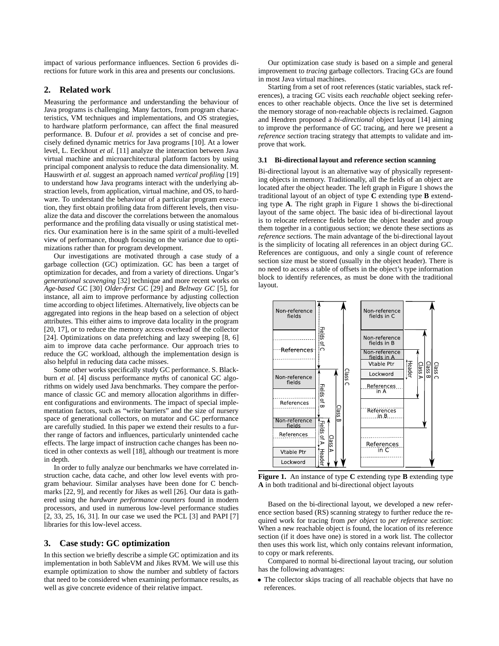impact of various performance influences. Section 6 provides directions for future work in this area and presents our conclusions.

# **2. Related work**

Measuring the performance and understanding the behaviour of Java programs is challenging. Many factors, from program characteristics, VM techniques and implementations, and OS strategies, to hardware platform performance, can affect the final measured performance. B. Dufour *et al.* provides a set of concise and precisely defined dynamic metrics for Java programs [10]. At a lower level, L. Eeckhout *et al.* [11] analyze the interaction between Java virtual machine and microarchitectural platform factors by using principal component analysis to reduce the data dimensionality. M. Hauswirth *et al.* suggest an approach named *vertical profiling* [19] to understand how Java programs interact with the underlying abstraction levels, from application, virtual machine, and OS, to hardware. To understand the behaviour of a particular program execution, they first obtain profiling data from different levels, then visualize the data and discover the correlations between the anomalous performance and the profiling data visually or using statistical metrics. Our examination here is in the same spirit of a multi-levelled view of performance, though focusing on the variance due to optimizations rather than for program development.

Our investigations are motivated through a case study of a garbage collection (GC) optimization. GC has been a target of optimization for decades, and from a variety of directions. Ungar's *generational scavenging* [32] technique and more recent works on *Age-based* GC [30] *Older-first* GC [29] and *Beltway GC* [5], for instance, all aim to improve performance by adjusting collection time according to object lifetimes. Alternatively, live objects can be aggregated into regions in the heap based on a selection of object attributes. This either aims to improve data locality in the program [20, 17], or to reduce the memory access overhead of the collector [24]. Optimizations on data prefetching and lazy sweeping [8, 6] aim to improve data cache performance. Our approach tries to reduce the GC workload, although the implementation design is also helpful in reducing data cache misses.

Some other works specifically study GC performance. S. Blackburn *et al.* [4] discuss performance *myths* of canonical GC algorithms on widely used Java benchmarks. They compare the performance of classic GC and memory allocation algorithms in different configurations and environments. The impact of special implementation factors, such as "write barriers" and the size of nursery space of generational collectors, on mutator and GC performance are carefully studied. In this paper we extend their results to a further range of factors and influences, particularly unintended cache effects. The large impact of instruction cache changes has been noticed in other contexts as well [18], although our treatment is more in depth.

In order to fully analyze our benchmarks we have correlated instruction cache, data cache, and other low level events with program behaviour. Similar analyses have been done for C benchmarks [22, 9], and recently for Jikes as well [26]. Our data is gathered using the *hardware performance counters* found in modern processors, and used in numerous low-level performance studies [2, 33, 25, 16, 31]. In our case we used the PCL [3] and PAPI [7] libraries for this low-level access.

# **3. Case study: GC optimization**

In this section we briefly describe a simple GC optimization and its implementation in both SableVM and Jikes RVM. We will use this example optimization to show the number and subtlety of factors that need to be considered when examining performance results, as well as give concrete evidence of their relative impact.

Our optimization case study is based on a simple and general improvement to *tracing* garbage collectors. Tracing GCs are found in most Java virtual machines.

Starting from a set of root references (static variables, stack references), a tracing GC visits each *reachable* object seeking references to other reachable objects. Once the live set is determined the memory storage of non-reachable objects is reclaimed. Gagnon and Hendren proposed a *bi-directional* object layout [14] aiming to improve the performance of GC tracing, and here we present a *reference section* tracing strategy that attempts to validate and improve that work.

#### **3.1 Bi-directional layout and reference section scanning**

Bi-directional layout is an alternative way of physically representing objects in memory. Traditionally, all the fields of an object are located after the object header. The left graph in Figure 1 shows the traditional layout of an object of type **C** extending type **B** extending type **A**. The right graph in Figure 1 shows the bi-directional layout of the same object. The basic idea of bi-directional layout is to relocate reference fields before the object header and group them together in a contiguous section; we denote these sections as *reference section*s. The main advantage of the bi-directional layout is the simplicity of locating all references in an object during GC. References are contiguous, and only a single count of reference section size must be stored (usually in the object header). There is no need to access a table of offsets in the object's type information block to identify references, as must be done with the traditional layout.



**Figure 1.** An instance of type **C** extending type **B** extending type **A** in both traditional and bi-directional object layouts

Based on the bi-directional layout, we developed a new reference section based (RS) scanning strategy to further reduce the required work for tracing from *per object* to *per reference section*: When a new reachable object is found, the location of its reference section (if it does have one) is stored in a work list. The collector then uses this work list, which only contains relevant information, to copy or mark referents.

Compared to normal bi-directional layout tracing, our solution has the following advantages:

• The collector skips tracing of all reachable objects that have no references.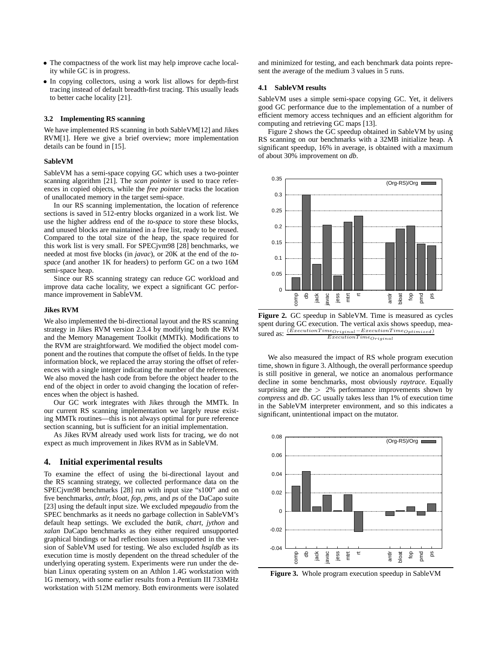- The compactness of the work list may help improve cache locality while GC is in progress.
- In copying collectors, using a work list allows for depth-first tracing instead of default breadth-first tracing. This usually leads to better cache locality [21].

#### **3.2 Implementing RS scanning**

We have implemented RS scanning in both SableVM[12] and Jikes RVM[1]. Here we give a brief overview; more implementation details can be found in [15].

# **SableVM**

SableVM has a semi-space copying GC which uses a two-pointer scanning algorithm [21]. The *scan pointer* is used to trace references in copied objects, while the *free pointer* tracks the location of unallocated memory in the target semi-space.

In our RS scanning implementation, the location of reference sections is saved in 512-entry blocks organized in a work list. We use the higher address end of the *to-space* to store these blocks, and unused blocks are maintained in a free list, ready to be reused. Compared to the total size of the heap, the space required for this work list is very small. For SPECjvm98 [28] benchmarks, we needed at most five blocks (in *javac*), or 20K at the end of the *tospace* (and another 1K for headers) to perform GC on a two 16M semi-space heap.

Since our RS scanning strategy can reduce GC workload and improve data cache locality, we expect a significant GC performance improvement in SableVM.

## **Jikes RVM**

We also implemented the bi-directional layout and the RS scanning strategy in Jikes RVM version 2.3.4 by modifying both the RVM and the Memory Management Toolkit (MMTk). Modifications to the RVM are straightforward. We modified the object model component and the routines that compute the offset of fields. In the type information block, we replaced the array storing the offset of references with a single integer indicating the number of the references. We also moved the hash code from before the object header to the end of the object in order to avoid changing the location of references when the object is hashed.

Our GC work integrates with Jikes through the MMTk. In our current RS scanning implementation we largely reuse existing MMTk routines—this is not always optimal for pure reference section scanning, but is sufficient for an initial implementation.

As Jikes RVM already used work lists for tracing, we do not expect as much improvement in Jikes RVM as in SableVM.

## **4. Initial experimental results**

To examine the effect of using the bi-directional layout and the RS scanning strategy, we collected performance data on the SPECjvm98 benchmarks [28] run with input size "s100" and on five benchmarks, *antlr, bloat, fop, pms,* and *ps* of the DaCapo suite [23] using the default input size. We excluded *mpegaudio* from the SPEC benchmarks as it needs no garbage collection in SableVM's default heap settings. We excluded the *batik, chart, jython* and *xalan* DaCapo benchmarks as they either required unsupported graphical bindings or had reflection issues unsupported in the version of SableVM used for testing. We also excluded *hsqldb* as its execution time is mostly dependent on the thread scheduler of the underlying operating system. Experiments were run under the debian Linux operating system on an Athlon 1.4G workstation with 1G memory, with some earlier results from a Pentium III 733MHz workstation with 512M memory. Both environments were isolated and minimized for testing, and each benchmark data points represent the average of the medium 3 values in 5 runs.

#### **4.1 SableVM results**

SableVM uses a simple semi-space copying GC. Yet, it delivers good GC performance due to the implementation of a number of efficient memory access techniques and an efficient algorithm for computing and retrieving GC maps [13].

Figure 2 shows the GC speedup obtained in SableVM by using RS scanning on our benchmarks with a 32MB initialize heap. A significant speedup, 16% in average, is obtained with a maximum of about 30% improvement on *db*.



**Figure 2.** GC speedup in SableVM. Time is measured as cycles spent during GC execution. The vertical axis shows speedup, measured as:  $(\bar{Executor} Time_{Original}-ExecutionTime_{Optimize})$  $Execution Time_{Original}$ 

We also measured the impact of RS whole program execution time, shown in figure 3. Although, the overall performance speedup is still positive in general, we notice an anomalous performance decline in some benchmarks, most obviously *raytrace*. Equally surprising are the  $> 2\%$  performance improvements shown by *compress* and *db*. GC usually takes less than 1% of execution time in the SableVM interpreter environment, and so this indicates a significant, unintentional impact on the mutator.



**Figure 3.** Whole program execution speedup in SableVM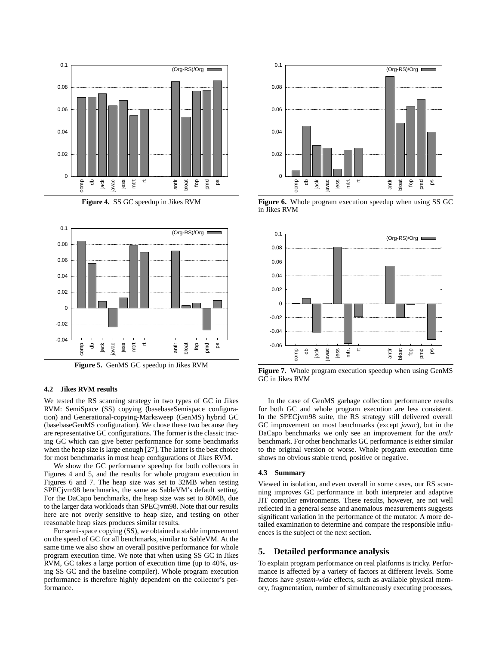

**Figure 4.** SS GC speedup in Jikes RVM



**Figure 5.** GenMS GC speedup in Jikes RVM

# **4.2 Jikes RVM results**

We tested the RS scanning strategy in two types of GC in Jikes RVM: SemiSpace (SS) copying (basebaseSemispace configuration) and Generational-copying-Marksweep (GenMS) hybrid GC (basebaseGenMS configuration). We chose these two because they are representative GC configurations. The former is the classic tracing GC which can give better performance for some benchmarks when the heap size is large enough [27]. The latter is the best choice for most benchmarks in most heap configurations of Jikes RVM.

We show the GC performance speedup for both collectors in Figures 4 and 5, and the results for whole program execution in Figures 6 and 7. The heap size was set to 32MB when testing SPECjvm98 benchmarks, the same as SableVM's default setting. For the DaCapo benchmarks, the heap size was set to 80MB, due to the larger data workloads than SPECjvm98. Note that our results here are not overly sensitive to heap size, and testing on other reasonable heap sizes produces similar results.

For semi-space copying (SS), we obtained a stable improvement on the speed of GC for all benchmarks, similar to SableVM. At the same time we also show an overall positive performance for whole program execution time. We note that when using SS GC in Jikes RVM, GC takes a large portion of execution time (up to 40%, using SS GC and the baseline compiler). Whole program execution performance is therefore highly dependent on the collector's performance.



**Figure 6.** Whole program execution speedup when using SS GC in Jikes RVM



**Figure 7.** Whole program execution speedup when using GenMS GC in Jikes RVM

In the case of GenMS garbage collection performance results for both GC and whole program execution are less consistent. In the SPECjvm98 suite, the RS strategy still delivered overall GC improvement on most benchmarks (except *javac*), but in the DaCapo benchmarks we only see an improvement for the *antlr* benchmark. For other benchmarks GC performance is either similar to the original version or worse. Whole program execution time shows no obvious stable trend, positive or negative.

#### **4.3 Summary**

Viewed in isolation, and even overall in some cases, our RS scanning improves GC performance in both interpreter and adaptive JIT compiler environments. These results, however, are not well reflected in a general sense and anomalous measurements suggests significant variation in the performance of the mutator. A more detailed examination to determine and compare the responsible influences is the subject of the next section.

# **5. Detailed performance analysis**

To explain program performance on real platforms is tricky. Performance is affected by a variety of factors at different levels. Some factors have *system-wide* effects, such as available physical memory, fragmentation, number of simultaneously executing processes,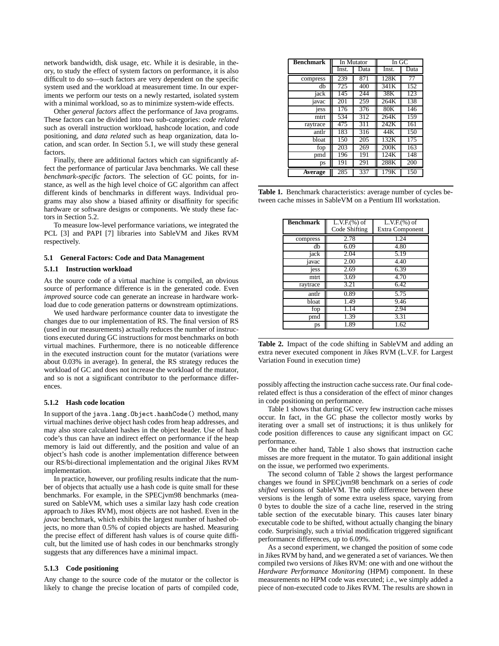network bandwidth, disk usage, etc. While it is desirable, in theory, to study the effect of system factors on performance, it is also difficult to do so—such factors are very dependent on the specific system used and the workload at measurement time. In our experiments we perform our tests on a newly restarted, isolated system with a minimal workload, so as to minimize system-wide effects.

Other *general factors* affect the performance of Java programs. These factors can be divided into two sub-categories: *code related* such as overall instruction workload, hashcode location, and code positioning, and *data related* such as heap organization, data location, and scan order. In Section 5.1, we will study these general factors.

Finally, there are additional factors which can significantly affect the performance of particular Java benchmarks. We call these *benchmark-specific factors*. The selection of GC points, for instance, as well as the high level choice of GC algorithm can affect different kinds of benchmarks in different ways. Individual programs may also show a biased affinity or disaffinity for specific hardware or software designs or components. We study these factors in Section 5.2.

To measure low-level performance variations, we integrated the PCL [3] and PAPI [7] libraries into SableVM and Jikes RVM respectively.

#### **5.1 General Factors: Code and Data Management**

#### **5.1.1 Instruction workload**

As the source code of a virtual machine is compiled, an obvious source of performance difference is in the generated code. Even *improved* source code can generate an increase in hardware workload due to code generation patterns or downstream optimizations.

We used hardware performance counter data to investigate the changes due to our implementation of RS. The final version of RS (used in our measurements) actually reduces the number of instructions executed during GC instructions for most benchmarks on both virtual machines. Furthermore, there is no noticeable difference in the executed instruction count for the mutator (variations were about 0.03% in average). In general, the RS strategy reduces the workload of GC and does not increase the workload of the mutator, and so is not a significant contributor to the performance differences.

## **5.1.2 Hash code location**

In support of the java.lang.Object.hashCode() method, many virtual machines derive object hash codes from heap addresses, and may also store calculated hashes in the object header. Use of hash code's thus can have an indirect effect on performance if the heap memory is laid out differently, and the position and value of an object's hash code is another implementation difference between our RS/bi-directional implementation and the original Jikes RVM implementation.

In practice, however, our profiling results indicate that the number of objects that actually use a hash code is quite small for these benchmarks. For example, in the SPECjvm98 benchmarks (measured on SableVM, which uses a similar lazy hash code creation approach to Jikes RVM), most objects are not hashed. Even in the *javac* benchmark, which exhibits the largest number of hashed objects, no more than 0.5% of copied objects are hashed. Measuring the precise effect of different hash values is of course quite difficult, but the limited use of hash codes in our benchmarks strongly suggests that any differences have a minimal impact.

#### **5.1.3 Code positioning**

Any change to the source code of the mutator or the collector is likely to change the precise location of parts of compiled code,

| <b>Benchmark</b> | In Mutator |      | In GC             |      |
|------------------|------------|------|-------------------|------|
|                  | Inst.      | Data | Inst.             | Data |
| compress         | 239        | 871  | 128K              | 77   |
| db               | 725        | 400  | 341K              | 152  |
| jack             | 145        | 244  | 38K               | 123  |
| javac            | 201        | 259  | $26\overline{4K}$ | 138  |
| jess             | 176        | 376  | 80K               | 146  |
| mtrt             | 534        | 312  | 264K              | 159  |
| raytrace         | 475        | 311  | 242K              | 161  |
| antlr            | 183        | 316  | 44K               | 150  |
| bloat            | 150        | 205  | 132K              | 175  |
| fop              | 203        | 269  | 200K              | 163  |
| pmd              | 196        | 191  | 124K              | 148  |
| ps               | 191        | 291  | 288K              | 200  |
| <b>Average</b>   | 285        | 337  | 179K              | 150  |

**Table 1.** Benchmark characteristics: average number of cycles between cache misses in SableVM on a Pentium III workstation.

| Benchmark | L.V.F.(%) of<br>Code Shifting | L.V.F.(%) of<br>Extra Component |
|-----------|-------------------------------|---------------------------------|
| compress  | 2.78                          | 1.24                            |
| db        | 6.09                          | 4.80                            |
| jack      | 2.04                          | 5.19                            |
| javac     | 2.00                          | 4.40                            |
| jess      | 2.69                          | 6.39                            |
| mtrt      | 3.69                          | 4.70                            |
| raytrace  | 3.21                          | 6.42                            |
| antIr     | 0.89                          | 5.75                            |
| bloat     | 1.49                          | 9.46                            |
| fop       | 1.14                          | 2.94                            |
| pmd       | 1.39                          | 3.31                            |
| ps        | 1.89                          | 1.62                            |

**Table 2.** Impact of the code shifting in SableVM and adding an extra never executed component in Jikes RVM (L.V.F. for Largest Variation Found in execution time)

possibly affecting the instruction cache success rate. Our final coderelated effect is thus a consideration of the effect of minor changes in code positioning on performance.

Table 1 shows that during GC very few instruction cache misses occur. In fact, in the GC phase the collector mostly works by iterating over a small set of instructions; it is thus unlikely for code position differences to cause any significant impact on GC performance.

On the other hand, Table 1 also shows that instruction cache misses are more frequent in the mutator. To gain additional insight on the issue, we performed two experiments.

The second column of Table 2 shows the largest performance changes we found in SPECjvm98 benchmark on a series of *code shifted* versions of SableVM. The only difference between these versions is the length of some extra useless space, varying from 0 bytes to double the size of a cache line, reserved in the string table section of the executable binary. This causes later binary executable code to be shifted, without actually changing the binary code. Surprisingly, such a trivial modification triggered significant performance differences, up to 6.09%.

As a second experiment, we changed the position of some code in Jikes RVM by hand, and we generated a set of variances. We then compiled two versions of Jikes RVM: one with and one without the *Hardware Performance Monitoring* (HPM) component. In these measurements no HPM code was executed; i.e., we simply added a piece of non-executed code to Jikes RVM. The results are shown in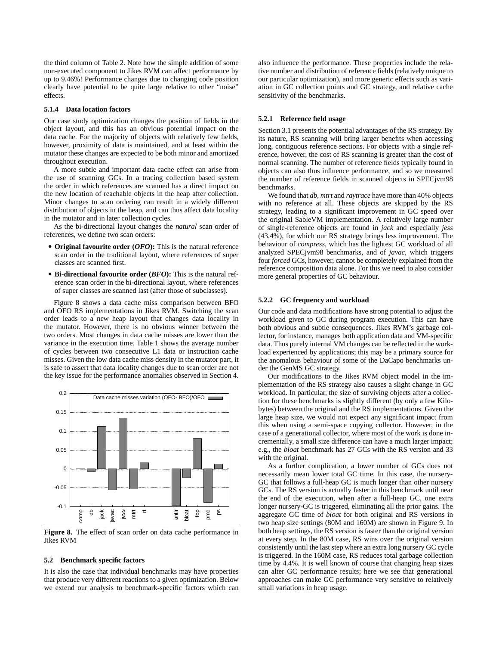the third column of Table 2. Note how the simple addition of some non-executed component to Jikes RVM can affect performance by up to 9.46%! Performance changes due to changing code position clearly have potential to be quite large relative to other "noise" effects.

#### **5.1.4 Data location factors**

Our case study optimization changes the position of fields in the object layout, and this has an obvious potential impact on the data cache. For the majority of objects with relatively few fields, however, proximity of data is maintained, and at least within the mutator these changes are expected to be both minor and amortized throughout execution.

A more subtle and important data cache effect can arise from the use of scanning GCs. In a tracing collection based system the order in which references are scanned has a direct impact on the new location of reachable objects in the heap after collection. Minor changes to scan ordering can result in a widely different distribution of objects in the heap, and can thus affect data locality in the mutator and in later collection cycles.

As the bi-directional layout changes the *natural* scan order of references, we define two scan orders:

- **Original favourite order (***OFO***):** This is the natural reference scan order in the traditional layout, where references of super classes are scanned first.
- **Bi-directional favourite order (***BFO***):** This is the natural reference scan order in the bi-directional layout, where references of super classes are scanned last (after those of subclasses).

Figure 8 shows a data cache miss comparison between BFO and OFO RS implementations in Jikes RVM. Switching the scan order leads to a new heap layout that changes data locality in the mutator. However, there is no obvious winner between the two orders. Most changes in data cache misses are lower than the variance in the execution time. Table 1 shows the average number of cycles between two consecutive L1 data or instruction cache misses. Given the low data cache miss density in the mutator part, it is safe to assert that data locality changes due to scan order are not the key issue for the performance anomalies observed in Section 4.



**Figure 8.** The effect of scan order on data cache performance in Jikes RVM

## **5.2 Benchmark specific factors**

It is also the case that individual benchmarks may have properties that produce very different reactions to a given optimization. Below we extend our analysis to benchmark-specific factors which can also influence the performance. These properties include the relative number and distribution of reference fields (relatively unique to our particular optimization), and more generic effects such as variation in GC collection points and GC strategy, and relative cache sensitivity of the benchmarks.

#### **5.2.1 Reference field usage**

Section 3.1 presents the potential advantages of the RS strategy. By its nature, RS scanning will bring larger benefits when accessing long, contiguous reference sections. For objects with a single reference, however, the cost of RS scanning is greater than the cost of normal scanning. The number of reference fields typically found in objects can also thus influence performance, and so we measured the number of reference fields in scanned objects in SPECjvm98 benchmarks.

We found that *db, mtrt* and *raytrace* have more than 40% objects with no reference at all. These objects are skipped by the RS strategy, leading to a significant improvement in GC speed over the original SableVM implementation. A relatively large number of single-reference objects are found in *jack* and especially *jess* (43.4%), for which our RS strategy brings less improvement. The behaviour of *compress*, which has the lightest GC workload of all analyzed SPECjvm98 benchmarks, and of *javac*, which triggers four *forced* GCs, however, cannot be completely explained from the reference composition data alone. For this we need to also consider more general properties of GC behaviour.

#### **5.2.2 GC frequency and workload**

Our code and data modifications have strong potential to adjust the workload given to GC during program execution. This can have both obvious and subtle consequences. Jikes RVM's garbage collector, for instance, manages both application data and VM-specific data. Thus purely internal VM changes can be reflected in the workload experienced by applications; this may be a primary source for the anomalous behaviour of some of the DaCapo benchmarks under the GenMS GC strategy.

Our modifications to the Jikes RVM object model in the implementation of the RS strategy also causes a slight change in GC workload. In particular, the size of surviving objects after a collection for these benchmarks is slightly different (by only a few Kilobytes) between the original and the RS implementations. Given the large heap size, we would not expect any significant impact from this when using a semi-space copying collector. However, in the case of a generational collector, where most of the work is done incrementally, a small size difference can have a much larger impact; e.g., the *bloat* benchmark has 27 GCs with the RS version and 33 with the original.

As a further complication, a lower number of GCs does not necessarily mean lower total GC time. In this case, the nursery-GC that follows a full-heap GC is much longer than other nursery GCs. The RS version is actually faster in this benchmark until near the end of the execution, when after a full-heap GC, one extra longer nursery-GC is triggered, eliminating all the prior gains. The aggregate GC time of *bloat* for both original and RS versions in two heap size settings (80M and 160M) are shown in Figure 9. In both heap settings, the RS version is faster than the original version at every step. In the 80M case, RS wins over the original version consistently until the last step where an extra long nursery GC cycle is triggered. In the 160M case, RS reduces total garbage collection time by 4.4%. It is well known of course that changing heap sizes can alter GC performance results; here we see that generational approaches can make GC performance very sensitive to relatively small variations in heap usage.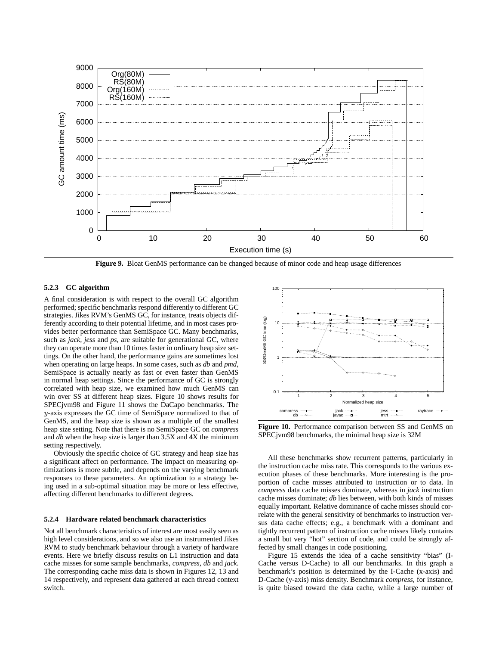

**Figure 9.** Bloat GenMS performance can be changed because of minor code and heap usage differences

## **5.2.3 GC algorithm**

A final consideration is with respect to the overall GC algorithm performed; specific benchmarks respond differently to different GC strategies. Jikes RVM's GenMS GC, for instance, treats objects differently according to their potential lifetime, and in most cases provides better performance than SemiSpace GC. Many benchmarks, such as *jack, jess* and *ps*, are suitable for generational GC, where they can operate more than 10 times faster in ordinary heap size settings. On the other hand, the performance gains are sometimes lost when operating on large heaps. In some cases, such as *db* and *pmd*, SemiSpace is actually nearly as fast or even faster than GenMS in normal heap settings. Since the performance of GC is strongly correlated with heap size, we examined how much GenMS can win over SS at different heap sizes. Figure 10 shows results for SPECjvm98 and Figure 11 shows the DaCapo benchmarks. The y-axis expresses the GC time of SemiSpace normalized to that of GenMS, and the heap size is shown as a multiple of the smallest heap size setting. Note that there is no SemiSpace GC on *compress* and *db* when the heap size is larger than 3.5X and 4X the minimum setting respectively.

Obviously the specific choice of GC strategy and heap size has a significant affect on performance. The impact on measuring optimizations is more subtle, and depends on the varying benchmark responses to these parameters. An optimization to a strategy being used in a sub-optimal situation may be more or less effective, affecting different benchmarks to different degrees.

# **5.2.4 Hardware related benchmark characteristics**

Not all benchmark characteristics of interest are most easily seen as high level considerations, and so we also use an instrumented Jikes RVM to study benchmark behaviour through a variety of hardware events. Here we briefly discuss results on L1 instruction and data cache misses for some sample benchmarks, *compress, db* and *jack*. The corresponding cache miss data is shown in Figures 12, 13 and 14 respectively, and represent data gathered at each thread context switch.



**Figure 10.** Performance comparison between SS and GenMS on SPECjvm98 benchmarks, the minimal heap size is 32M

All these benchmarks show recurrent patterns, particularly in the instruction cache miss rate. This corresponds to the various execution phases of these benchmarks. More interesting is the proportion of cache misses attributed to instruction or to data. In *compress* data cache misses dominate, whereas in *jack* instruction cache misses dominate; *db* lies between, with both kinds of misses equally important. Relative dominance of cache misses should correlate with the general sensitivity of benchmarks to instruction versus data cache effects; e.g., a benchmark with a dominant and tightly recurrent pattern of instruction cache misses likely contains a small but very "hot" section of code, and could be strongly affected by small changes in code positioning.

Figure 15 extends the idea of a cache sensitivity "bias" (I-Cache versus D-Cache) to all our benchmarks. In this graph a benchmark's position is determined by the I-Cache (x-axis) and D-Cache (y-axis) miss density. Benchmark *compress*, for instance, is quite biased toward the data cache, while a large number of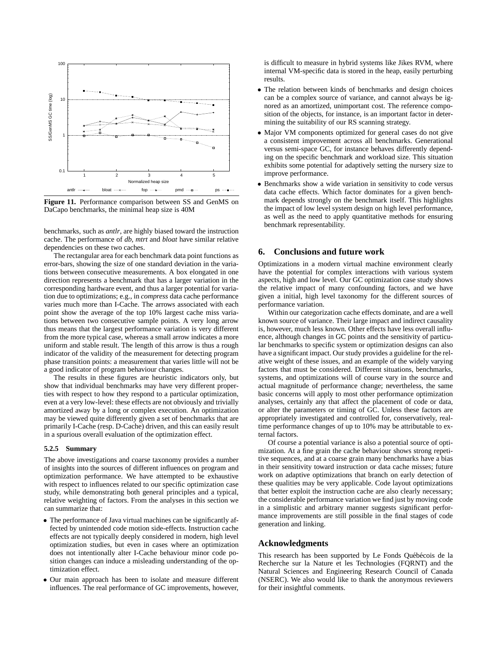

**Figure 11.** Performance comparison between SS and GenMS on DaCapo benchmarks, the minimal heap size is 40M

benchmarks, such as *antlr*, are highly biased toward the instruction cache. The performance of *db, mtrt* and *bloat* have similar relative dependencies on these two caches.

The rectangular area for each benchmark data point functions as error-bars, showing the size of one standard deviation in the variations between consecutive measurements. A box elongated in one direction represents a benchmark that has a larger variation in the corresponding hardware event, and thus a larger potential for variation due to optimizations; e.g., in *compress* data cache performance varies much more than I-Cache. The arrows associated with each point show the average of the top 10% largest cache miss variations between two consecutive sample points. A very long arrow thus means that the largest performance variation is very different from the more typical case, whereas a small arrow indicates a more uniform and stable result. The length of this arrow is thus a rough indicator of the validity of the measurement for detecting program phase transition points: a measurement that varies little will not be a good indicator of program behaviour changes.

The results in these figures are heuristic indicators only, but show that individual benchmarks may have very different properties with respect to how they respond to a particular optimization, even at a very low-level: these effects are not obviously and trivially amortized away by a long or complex execution. An optimization may be viewed quite differently given a set of benchmarks that are primarily I-Cache (resp. D-Cache) driven, and this can easily result in a spurious overall evaluation of the optimization effect.

#### **5.2.5 Summary**

The above investigations and coarse taxonomy provides a number of insights into the sources of different influences on program and optimization performance. We have attempted to be exhaustive with respect to influences related to our specific optimization case study, while demonstrating both general principles and a typical, relative weighting of factors. From the analyses in this section we can summarize that:

- The performance of Java virtual machines can be significantly affected by unintended code motion side-effects. Instruction cache effects are not typically deeply considered in modern, high level optimization studies, but even in cases where an optimization does not intentionally alter I-Cache behaviour minor code position changes can induce a misleading understanding of the optimization effect.
- Our main approach has been to isolate and measure different influences. The real performance of GC improvements, however,

is difficult to measure in hybrid systems like Jikes RVM, where internal VM-specific data is stored in the heap, easily perturbing results.

- The relation between kinds of benchmarks and design choices can be a complex source of variance, and cannot always be ignored as an amortized, unimportant cost. The reference composition of the objects, for instance, is an important factor in determining the suitability of our RS scanning strategy.
- Major VM components optimized for general cases do not give a consistent improvement across all benchmarks. Generational versus semi-space GC, for instance behaves differently depending on the specific benchmark and workload size. This situation exhibits some potential for adaptively setting the nursery size to improve performance.
- Benchmarks show a wide variation in sensitivity to code versus data cache effects. Which factor dominates for a given benchmark depends strongly on the benchmark itself. This highlights the impact of low level system design on high level performance, as well as the need to apply quantitative methods for ensuring benchmark representability.

## **6. Conclusions and future work**

Optimizations in a modern virtual machine environment clearly have the potential for complex interactions with various system aspects, high and low level. Our GC optimization case study shows the relative impact of many confounding factors, and we have given a initial, high level taxonomy for the different sources of performance variation.

Within our categorization cache effects dominate, and are a well known source of variance. Their large impact and indirect causality is, however, much less known. Other effects have less overall influence, although changes in GC points and the sensitivity of particular benchmarks to specific system or optimization designs can also have a significant impact. Our study provides a guideline for the relative weight of these issues, and an example of the widely varying factors that must be considered. Different situations, benchmarks, systems, and optimizations will of course vary in the source and actual magnitude of performance change; nevertheless, the same basic concerns will apply to most other performance optimization analyses, certainly any that affect the placement of code or data, or alter the parameters or timing of GC. Unless these factors are appropriately investigated and controlled for, conservatively, realtime performance changes of up to 10% may be attributable to external factors.

Of course a potential variance is also a potential source of optimization. At a fine grain the cache behaviour shows strong repetitive sequences, and at a coarse grain many benchmarks have a bias in their sensitivity toward instruction or data cache misses; future work on adaptive optimizations that branch on early detection of these qualities may be very applicable. Code layout optimizations that better exploit the instruction cache are also clearly necessary; the considerable performance variation we find just by moving code in a simplistic and arbitrary manner suggests significant performance improvements are still possible in the final stages of code generation and linking.

# **Acknowledgments**

This research has been supported by Le Fonds Québécois de la Recherche sur la Nature et les Technologies (FQRNT) and the Natural Sciences and Engineering Research Council of Canada (NSERC). We also would like to thank the anonymous reviewers for their insightful comments.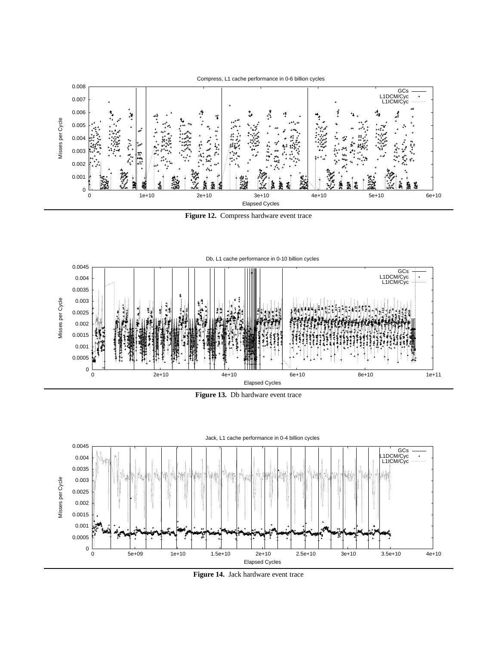

**Figure 12.** Compress hardware event trace



**Figure 13.** Db hardware event trace



**Figure 14.** Jack hardware event trace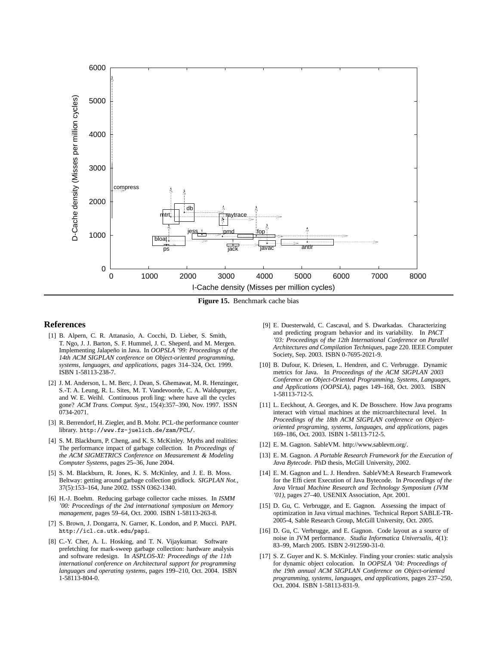

**Figure 15.** Benchmark cache bias

## **References**

- [1] B. Alpern, C. R. Attanasio, A. Cocchi, D. Lieber, S. Smith, T. Ngo, J. J. Barton, S. F. Hummel, J. C. Sheperd, and M. Mergen. Implementing Jalapeño in Java. In *OOPSLA* '99: *Proceedings of the 14th ACM SIGPLAN conference on Object-oriented programming, systems, languages, and applications*, pages 314–324, Oct. 1999. ISBN 1-58113-238-7.
- [2] J. M. Anderson, L. M. Berc, J. Dean, S. Ghemawat, M. R. Henzinger, S.-T. A. Leung, R. L. Sites, M. T. Vandevoorde, C. A. Waldspurger, and W. E. Weihl. Continuous profiling: where have all the cycles gone? *ACM Trans. Comput. Syst.*, 15(4):357–390, Nov. 1997. ISSN 0734-2071.
- [3] R. Berrendorf, H. Ziegler, and B. Mohr. PCL-the performance counter library. http://www.fz-juelich.de/zam/PCL/.
- [4] S. M. Blackburn, P. Cheng, and K. S. McKinley. Myths and realities: The performance impact of garbage collection. In *Proceedings of the ACM SIGMETRICS Conference on Measurement & Modeling Computer Systems*, pages 25–36, June 2004.
- [5] S. M. Blackburn, R. Jones, K. S. McKinley, and J. E. B. Moss. Beltway: getting around garbage collection gridlock. *SIGPLAN Not.*, 37(5):153–164, June 2002. ISSN 0362-1340.
- [6] H.-J. Boehm. Reducing garbage collector cache misses. In *ISMM '00: Proceedings of the 2nd international symposium on Memory management*, pages 59–64, Oct. 2000. ISBN 1-58113-263-8.
- [7] S. Brown, J. Dongarra, N. Garner, K. London, and P. Mucci. PAPI. http://icl.cs.utk.edu/papi.
- [8] C.-Y. Cher, A. L. Hosking, and T. N. Vijaykumar. Software prefetching for mark-sweep garbage collection: hardware analysis and software redesign. In *ASPLOS-XI: Proceedings of the 11th international conference on Architectural support for programming languages and operating systems*, pages 199–210, Oct. 2004. ISBN 1-58113-804-0.
- [9] E. Duesterwald, C. Cascaval, and S. Dwarkadas. Characterizing and predicting program behavior and its variability. In *PACT '03: Proceedings of the 12th International Conference on Parallel Architectures and Compilation Techniques*, page 220. IEEE Computer Society, Sep. 2003. ISBN 0-7695-2021-9.
- [10] B. Dufour, K. Driesen, L. Hendren, and C. Verbrugge. Dynamic metrics for Java. In *Proceedings of the ACM SIGPLAN 2003 Conference on Object-Oriented Programming, Systems, Languages, and Applications (OOPSLA)*, pages 149–168, Oct. 2003. ISBN 1-58113-712-5.
- [11] L. Eeckhout, A. Georges, and K. De Bosschere. How Java programs interact with virtual machines at the microarchitectural level. In *Proceedings of the 18th ACM SIGPLAN conference on Objectoriented programing, systems, languages, and applications*, pages 169–186, Oct. 2003. ISBN 1-58113-712-5.
- [12] E. M. Gagnon. SableVM. http://www.sablevm.org/.
- [13] E. M. Gagnon. *A Portable Research Framework for the Execution of Java Bytecode*. PhD thesis, McGill University, 2002.
- [14] E. M. Gagnon and L. J. Hendren. SableVM:A Research Framework for the Efficient Execution of Java Bytecode. In *Proceedings of the Java Virtual Machine Research and Technology Symposium (JVM '01)*, pages 27–40. USENIX Association, Apr. 2001.
- [15] D. Gu, C. Verbrugge, and E. Gagnon. Assessing the impact of optimization in Java virtual machines. Technical Report SABLE-TR-2005-4, Sable Research Group, McGill University, Oct. 2005.
- [16] D. Gu, C. Verbrugge, and E. Gagnon. Code layout as a source of noise in JVM performance. *Studia Informatica Universalis*, 4(1): 83–99, March 2005. ISBN 2-912590-31-0.
- [17] S. Z. Guyer and K. S. McKinley. Finding your cronies: static analysis for dynamic object colocation. In *OOPSLA '04: Proceedings of the 19th annual ACM SIGPLAN Conference on Object-oriented programming, systems, languages, and applications*, pages 237–250, Oct. 2004. ISBN 1-58113-831-9.